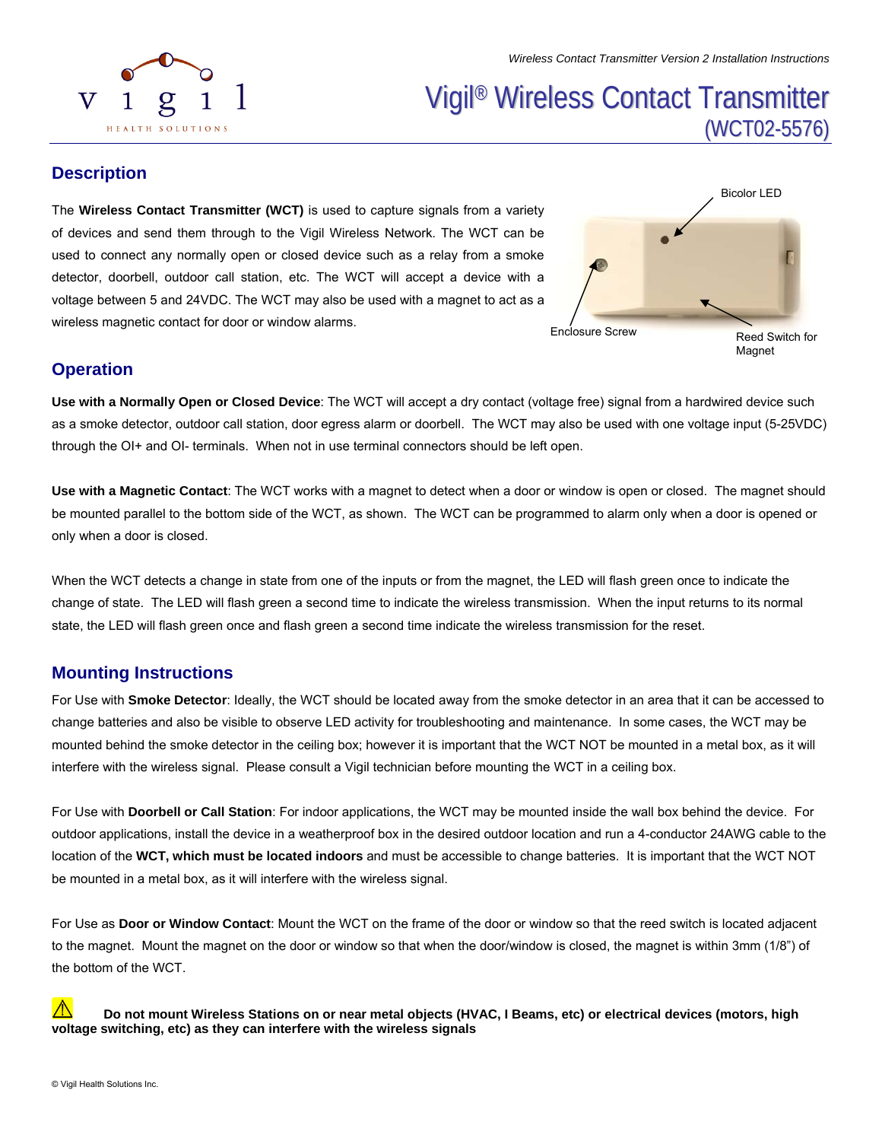# Vigil ® Wireless Contact Transmitter (WCT02-5576)

#### **Description**

HEALTH SOLUTIONS

V

The **Wireless Contact Transmitter (WCT)** is used to capture signals from a variety of devices and send them through to the Vigil Wireless Network. The WCT can be used to connect any normally open or closed device such as a relay from a smoke detector, doorbell, outdoor call station, etc. The WCT will accept a device with a voltage between 5 and 24VDC. The WCT may also be used with a magnet to act as a wireless magnetic contact for door or window alarms.

1



#### **Operation**

**Use with a Normally Open or Closed Device**: The WCT will accept a dry contact (voltage free) signal from a hardwired device such as a smoke detector, outdoor call station, door egress alarm or doorbell. The WCT may also be used with one voltage input (5-25VDC) through the OI+ and OI- terminals. When not in use terminal connectors should be left open.

**Use with a Magnetic Contact**: The WCT works with a magnet to detect when a door or window is open or closed. The magnet should be mounted parallel to the bottom side of the WCT, as shown. The WCT can be programmed to alarm only when a door is opened or only when a door is closed.

When the WCT detects a change in state from one of the inputs or from the magnet, the LED will flash green once to indicate the change of state. The LED will flash green a second time to indicate the wireless transmission. When the input returns to its normal state, the LED will flash green once and flash green a second time indicate the wireless transmission for the reset.

### **Mounting Instructions**

For Use with **Smoke Detector**: Ideally, the WCT should be located away from the smoke detector in an area that it can be accessed to change batteries and also be visible to observe LED activity for troubleshooting and maintenance. In some cases, the WCT may be mounted behind the smoke detector in the ceiling box; however it is important that the WCT NOT be mounted in a metal box, as it will interfere with the wireless signal. Please consult a Vigil technician before mounting the WCT in a ceiling box.

For Use with **Doorbell or Call Station**: For indoor applications, the WCT may be mounted inside the wall box behind the device. For outdoor applications, install the device in a weatherproof box in the desired outdoor location and run a 4-conductor 24AWG cable to the location of the **WCT, which must be located indoors** and must be accessible to change batteries. It is important that the WCT NOT be mounted in a metal box, as it will interfere with the wireless signal.

For Use as **Door or Window Contact**: Mount the WCT on the frame of the door or window so that the reed switch is located adjacent to the magnet. Mount the magnet on the door or window so that when the door/window is closed, the magnet is within 3mm (1/8") of the bottom of the WCT.

∧  **Do not mount Wireless Stations on or near metal objects (HVAC, I Beams, etc) or electrical devices (motors, high voltage switching, etc) as they can interfere with the wireless signals**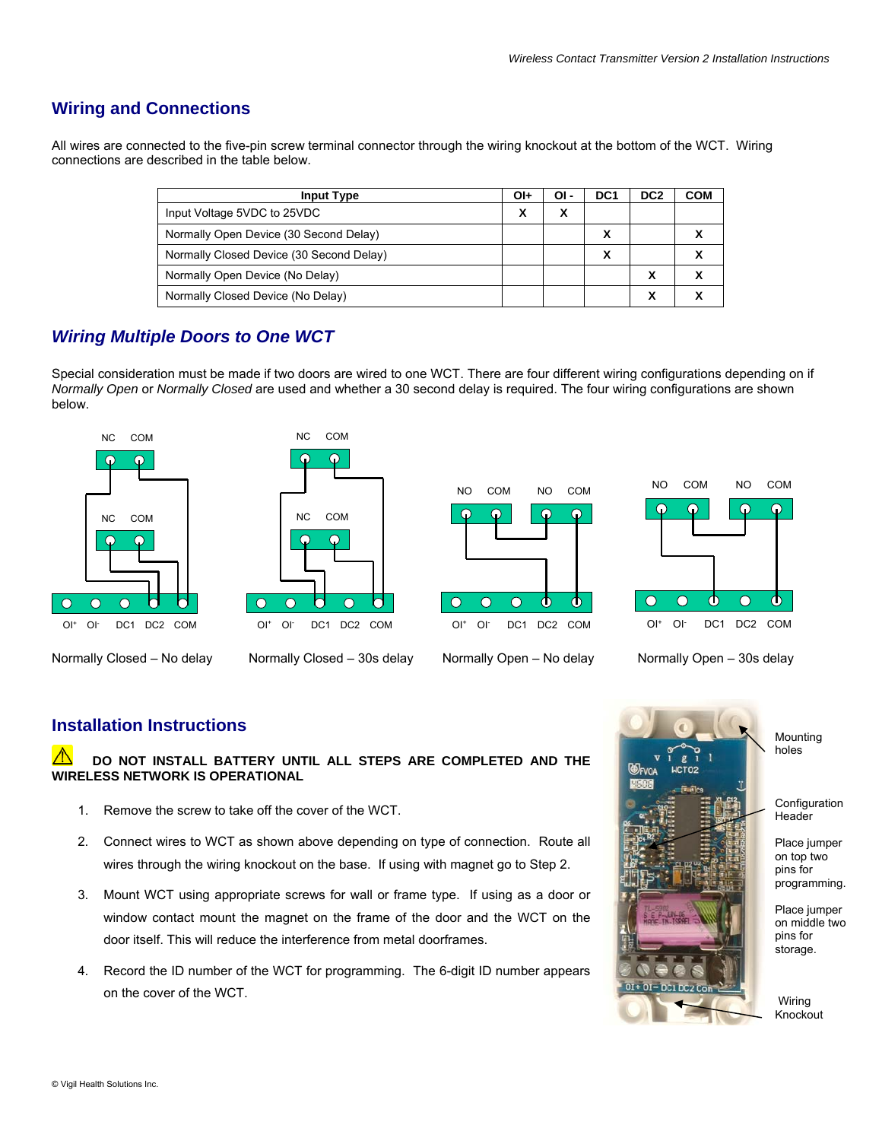## **Wiring and Connections**

All wires are connected to the five-pin screw terminal connector through the wiring knockout at the bottom of the WCT. Wiring connections are described in the table below.

| <b>Input Type</b>                        | OI+ | OI -              | DC <sub>1</sub> | DC <sub>2</sub> | COM |
|------------------------------------------|-----|-------------------|-----------------|-----------------|-----|
| Input Voltage 5VDC to 25VDC              | χ   | $\checkmark$<br>Λ |                 |                 |     |
| Normally Open Device (30 Second Delay)   |     |                   |                 |                 |     |
| Normally Closed Device (30 Second Delay) |     |                   |                 |                 |     |
| Normally Open Device (No Delay)          |     |                   |                 | X               |     |
| Normally Closed Device (No Delay)        |     |                   |                 | χ               |     |

## *Wiring Multiple Doors to One WCT*

Special consideration must be made if two doors are wired to one WCT. There are four different wiring configurations depending on if *Normally Open* or *Normally Closed* are used and whether a 30 second delay is required. The four wiring configurations are shown below.









Normally Closed – No delay Normally Closed – 30s delay Normally Open – No delay Normally Open – 30s delay

#### **Installation Instructions**

#### **DO NOT INSTALL BATTERY UNTIL ALL STEPS ARE COMPLETED AND THE WIRELESS NETWORK IS OPERATIONAL**

- 1. Remove the screw to take off the cover of the WCT.
- 2. Connect wires to WCT as shown above depending on type of connection. Route all wires through the wiring knockout on the base. If using with magnet go to Step 2.
- 3. Mount WCT using appropriate screws for wall or frame type. If using as a door or window contact mount the magnet on the frame of the door and the WCT on the door itself. This will reduce the interference from metal doorframes.
- 4. Record the ID number of the WCT for programming. The 6-digit ID number appears on the cover of the WCT.



Mounting holes

Configuration Header

Place jumper on top two pins for programming.

Place jumper on middle two pins for storage.

 Wiring Knockout